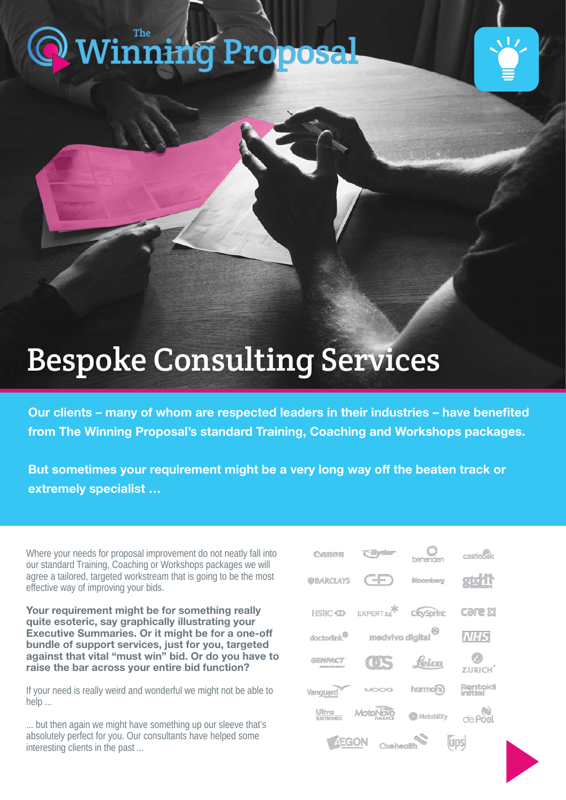## [Winning Proposal](https://www.thewinningproposal.com)



## Bespoke Consulting Services

Our clients – many of whom are respected leaders in their industries – have benefited from The Winning Proposal's standard Training, Coaching and Workshops packages.

But sometimes your requirement might be a very long way off the beaten track or extremely specialist …

Where your needs for proposal improvement do not neatly fall into our standard Training, Coaching or Workshops packages we will agree a tailored, targeted workstream that is going to be the most effective way of improving your bids.

Your requirement might be for something really quite esoteric, say graphically illustrating your Executive Summaries. Or it might be for a one-off bundle of support services, just for you, targeted against that vital "must win" bid. Or do you have to raise the bar across your entire bid function?

If your need is really weird and wonderful we might not be able to help ...

... but then again we might have something up our sleeve that's absolutely perfect for you. Our consultants have helped some interesting clients in the past ...